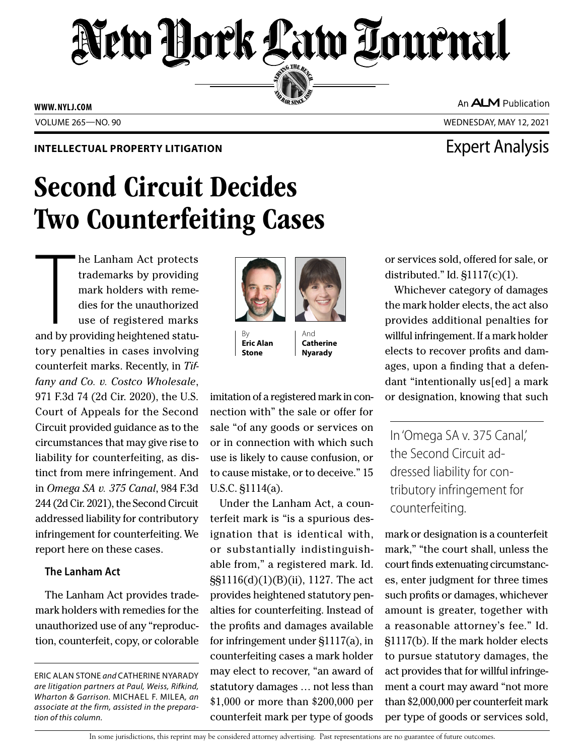# New York Law Tournal SERVING THE BEN

**ED BAR SINCE 188** 

**WWW. NYLJ.COM**

VOLUME 265—NO. 90 WEDNESDAY, MAY 12, 2021

### **INTELLECTUAL PROPERTY LITIGATION EXPERTY LITIGATION**

## Second Circuit Decides Two Counterfeiting Cases

The Lanham Act protects<br>trademarks by providing<br>mark holders with reme-<br>dies for the unauthorized<br>use of registered marks<br>and by providing heightened statuhe Lanham Act protects trademarks by providing mark holders with remedies for the unauthorized use of registered marks tory penalties in cases involving counterfeit marks. Recently, in *Tiffany and Co. v. Costco Wholesale*, 971 F.3d 74 (2d Cir. 2020), the U.S. Court of Appeals for the Second Circuit provided guidance as to the circumstances that may give rise to liability for counterfeiting, as distinct from mere infringement. And in *Omega SA v. 375 Canal*, 984 F.3d 244 (2d Cir. 2021), the Second Circuit addressed liability for contributory infringement for counterfeiting. We report here on these cases.

### **The Lanham Act**

The Lanham Act provides trademark holders with remedies for the unauthorized use of any "reproduction, counterfeit, copy, or colorable

ERIC ALAN STONE *and* CATHERINE NYARADY *are litigation partners at Paul, Weiss, Rifkind, Wharton & Garrison.* MICHAEL F. MILEA*, an associate at the firm, assisted in the preparation of this column.*

By **Eric Alan Stone**

imitation of a registered mark in connection with" the sale or offer for sale "of any goods or services on or in connection with which such use is likely to cause confusion, or to cause mistake, or to deceive." 15 U.S.C. §1114(a).

And **Catherine Nyarady**

Under the Lanham Act, a counterfeit mark is "is a spurious designation that is identical with, or substantially indistinguishable from," a registered mark. Id. §§1116(d)(1)(B)(ii), 1127. The act provides heightened statutory penalties for counterfeiting. Instead of the profits and damages available for infringement under §1117(a), in counterfeiting cases a mark holder may elect to recover, "an award of statutory damages … not less than \$1,000 or more than \$200,000 per counterfeit mark per type of goods

or services sold, offered for sale, or distributed." Id. §1117(c)(1).

Whichever category of damages the mark holder elects, the act also provides additional penalties for willful infringement. If a mark holder elects to recover profits and damages, upon a finding that a defendant "intentionally us[ed] a mark or designation, knowing that such

In 'Omega SA v. 375 Canal,' the Second Circuit addressed liability for contributory infringement for counterfeiting.

mark or designation is a counterfeit mark," "the court shall, unless the court finds extenuating circumstances, enter judgment for three times such profits or damages, whichever amount is greater, together with a reasonable attorney's fee." Id. §1117(b). If the mark holder elects to pursue statutory damages, the act provides that for willful infringement a court may award "not more than \$2,000,000 per counterfeit mark per type of goods or services sold,



An **ALM** Publication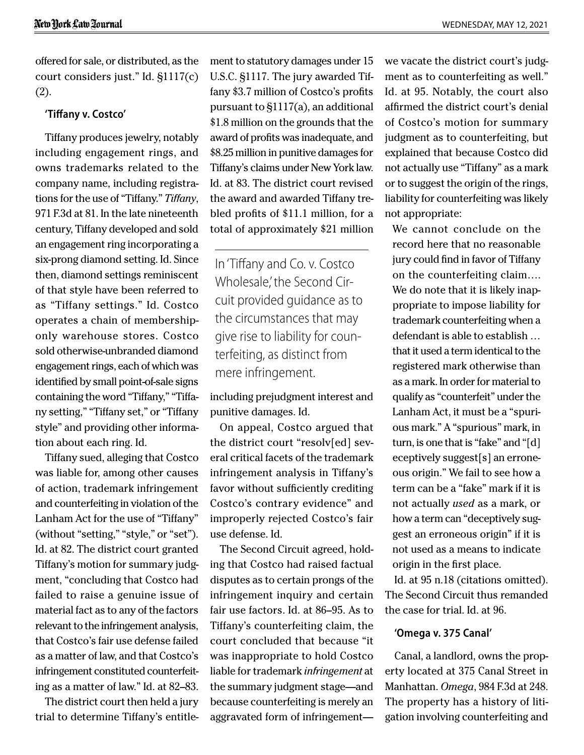offered for sale, or distributed, as the court considers just." Id. §1117(c) (2).

#### **'Tiffany v. Costco'**

Tiffany produces jewelry, notably including engagement rings, and owns trademarks related to the company name, including registrations for the use of "Tiffany." *Tiffany*, 971 F.3d at 81. In the late nineteenth century, Tiffany developed and sold an engagement ring incorporating a six-prong diamond setting. Id. Since then, diamond settings reminiscent of that style have been referred to as "Tiffany settings." Id. Costco operates a chain of membershiponly warehouse stores. Costco sold otherwise-unbranded diamond engagement rings, each of which was identified by small point-of-sale signs containing the word "Tiffany," "Tiffany setting," "Tiffany set," or "Tiffany style" and providing other information about each ring. Id.

Tiffany sued, alleging that Costco was liable for, among other causes of action, trademark infringement and counterfeiting in violation of the Lanham Act for the use of "Tiffany" (without "setting," "style," or "set"). Id. at 82. The district court granted Tiffany's motion for summary judgment, "concluding that Costco had failed to raise a genuine issue of material fact as to any of the factors relevant to the infringement analysis, that Costco's fair use defense failed as a matter of law, and that Costco's infringement constituted counterfeiting as a matter of law." Id. at 82–83.

The district court then held a jury trial to determine Tiffany's entitlement to statutory damages under 15 U.S.C. §1117. The jury awarded Tiffany \$3.7 million of Costco's profits pursuant to §1117(a), an additional \$1.8 million on the grounds that the award of profits was inadequate, and \$8.25 million in punitive damages for Tiffany's claims under New York law. Id. at 83. The district court revised the award and awarded Tiffany trebled profits of \$11.1 million, for a total of approximately \$21 million

In 'Tiffany and Co. v. Costco Wholesale,' the Second Circuit provided guidance as to the circumstances that may give rise to liability for counterfeiting, as distinct from mere infringement.

including prejudgment interest and punitive damages. Id.

On appeal, Costco argued that the district court "resolv[ed] several critical facets of the trademark infringement analysis in Tiffany's favor without sufficiently crediting Costco's contrary evidence" and improperly rejected Costco's fair use defense. Id.

The Second Circuit agreed, holding that Costco had raised factual disputes as to certain prongs of the infringement inquiry and certain fair use factors. Id. at 86–95. As to Tiffany's counterfeiting claim, the court concluded that because "it was inappropriate to hold Costco liable for trademark *infringement* at the summary judgment stage—and because counterfeiting is merely an aggravated form of infringementwe vacate the district court's judgment as to counterfeiting as well." Id. at 95. Notably, the court also affirmed the district court's denial of Costco's motion for summary judgment as to counterfeiting, but explained that because Costco did not actually use "Tiffany" as a mark or to suggest the origin of the rings, liability for counterfeiting was likely not appropriate:

We cannot conclude on the record here that no reasonable jury could find in favor of Tiffany on the counterfeiting claim…. We do note that it is likely inappropriate to impose liability for trademark counterfeiting when a defendant is able to establish … that it used a term identical to the registered mark otherwise than as a mark. In order for material to qualify as "counterfeit" under the Lanham Act, it must be a "spurious mark." A "spurious" mark, in turn, is one that is "fake" and "[d] eceptively suggest[s] an erroneous origin." We fail to see how a term can be a "fake" mark if it is not actually *used* as a mark, or how a term can "deceptively suggest an erroneous origin" if it is not used as a means to indicate origin in the first place.

Id. at 95 n.18 (citations omitted). The Second Circuit thus remanded the case for trial. Id. at 96.

#### **'Omega v. 375 Canal'**

Canal, a landlord, owns the property located at 375 Canal Street in Manhattan. *Omega*, 984 F.3d at 248. The property has a history of litigation involving counterfeiting and